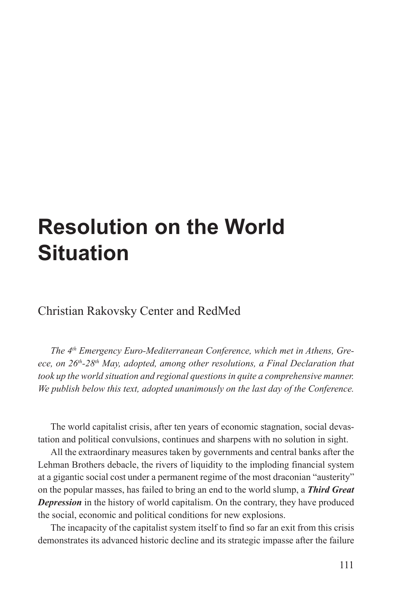# **Resolution on the World Situation**

Christian Rakovsky Center and RedMed

*The 4th Emergency Euro-Mediterranean Conference, which met in Athens, Greece, on 26th-28th May, adopted, among other resolutions, a Final Declaration that took up the world situation and regional questions in quite a comprehensive manner. We publish below this text, adopted unanimously on the last day of the Conference.*

The world capitalist crisis, after ten years of economic stagnation, social devastation and political convulsions, continues and sharpens with no solution in sight.

All the extraordinary measures taken by governments and central banks after the Lehman Brothers debacle, the rivers of liquidity to the imploding financial system at a gigantic social cost under a permanent regime of the most draconian "austerity" on the popular masses, has failed to bring an end to the world slump, a *Third Great Depression* in the history of world capitalism. On the contrary, they have produced the social, economic and political conditions for new explosions.

The incapacity of the capitalist system itself to find so far an exit from this crisis demonstrates its advanced historic decline and its strategic impasse after the failure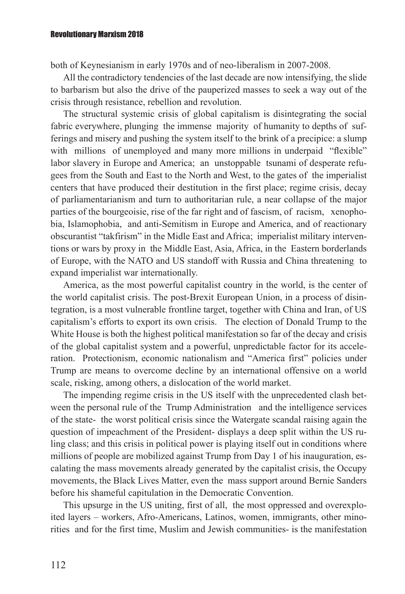#### Revolutionary Marxism 2018

both of Keynesianism in early 1970s and of neo-liberalism in 2007-2008.

All the contradictory tendencies of the last decade are now intensifying, the slide to barbarism but also the drive of the pauperized masses to seek a way out of the crisis through resistance, rebellion and revolution.

The structural systemic crisis of global capitalism is disintegrating the social fabric everywhere, plunging the immense majority of humanity to depths of sufferings and misery and pushing the system itself to the brink of a precipice: a slump with millions of unemployed and many more millions in underpaid "flexible" labor slavery in Europe and America; an unstoppable tsunami of desperate refugees from the South and East to the North and West, to the gates of the imperialist centers that have produced their destitution in the first place; regime crisis, decay of parliamentarianism and turn to authoritarian rule, a near collapse of the major parties of the bourgeoisie, rise of the far right and of fascism, of racism, xenophobia, Islamophobia, and anti-Semitism in Europe and America, and of reactionary obscurantist "takfirism" in the Midle East and Africa; imperialist military interventions or wars by proxy in the Middle East, Asia, Africa, in the Eastern borderlands of Europe, with the NATO and US standoff with Russia and China threatening to expand imperialist war internationally.

America, as the most powerful capitalist country in the world, is the center of the world capitalist crisis. The post-Brexit European Union, in a process of disintegration, is a most vulnerable frontline target, together with China and Iran, of US capitalism's efforts to export its own crisis.The election of Donald Trump to the White House is both the highest political manifestation so far of the decay and crisis of the global capitalist system and a powerful, unpredictable factor for its acceleration. Protectionism, economic nationalism and "America first" policies under Trump are means to overcome decline by an international offensive on a world scale, risking, among others, a dislocation of the world market.

The impending regime crisis in the US itself with the unprecedented clash between the personal rule of the Trump Administration and the intelligence services of the state- the worst political crisis since the Watergate scandal raising again the question of impeachment of the President- displays a deep split within the US ruling class; and this crisis in political power is playing itself out in conditions where millions of people are mobilized against Trump from Day 1 of his inauguration, escalating the mass movements already generated by the capitalist crisis, the Occupy movements, the Black Lives Matter, even the mass support around Bernie Sanders before his shameful capitulation in the Democratic Convention.

This upsurge in the US uniting, first of all, the most oppressed and overexploited layers – workers, Afro-Americans, Latinos, women, immigrants, other minorities and for the first time, Muslim and Jewish communities- is the manifestation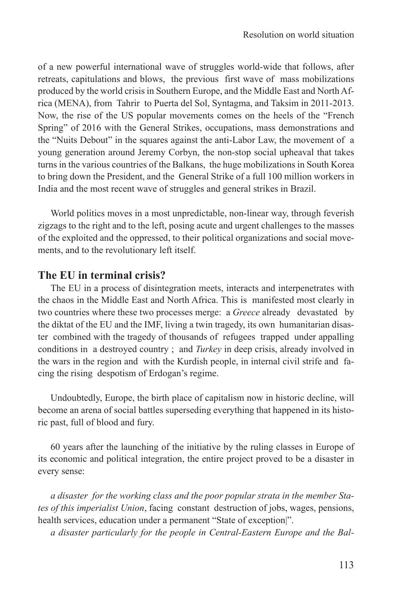of a new powerful international wave of struggles world-wide that follows, after retreats, capitulations and blows, the previous first wave of mass mobilizations produced by the world crisis in Southern Europe, and the Middle East and North Africa (MENA), from Tahrir to Puerta del Sol, Syntagma, and Taksim in 2011-2013. Now, the rise of the US popular movements comes on the heels of the "French Spring" of 2016 with the General Strikes, occupations, mass demonstrations and the "Nuits Debout" in the squares against the anti-Labor Law, the movement of a young generation around Jeremy Corbyn, the non-stop social upheaval that takes turns in the various countries of the Balkans, the huge mobilizations in South Korea to bring down the President, and the General Strike of a full 100 million workers in India and the most recent wave of struggles and general strikes in Brazil.

World politics moves in a most unpredictable, non-linear way, through feverish zigzags to the right and to the left, posing acute and urgent challenges to the masses of the exploited and the oppressed, to their political organizations and social movements, and to the revolutionary left itself.

#### **The EU in terminal crisis?**

The EU in a process of disintegration meets, interacts and interpenetrates with the chaos in the Middle East and North Africa. This is manifested most clearly in two countries where these two processes merge: a *Greece* already devastated by the diktat of the EU and the IMF, living a twin tragedy, its own humanitarian disaster combined with the tragedy of thousands of refugees trapped under appalling conditions in a destroyed country ; and *Turkey* in deep crisis, already involved in the wars in the region and with the Kurdish people, in internal civil strife and facing the rising despotism of Erdogan's regime.

Undoubtedly, Europe, the birth place of capitalism now in historic decline, will become an arena of social battles superseding everything that happened in its historic past, full of blood and fury.

60 years after the launching of the initiative by the ruling classes in Europe of its economic and political integration, the entire project proved to be a disaster in every sense:

*a disaster for the working class and the poor popular strata in the member States of this imperialist Union*, facing constant destruction of jobs, wages, pensions, health services, education under a permanent "State of exception".

*a disaster particularly for the people in Central-Eastern Europe and the Bal-*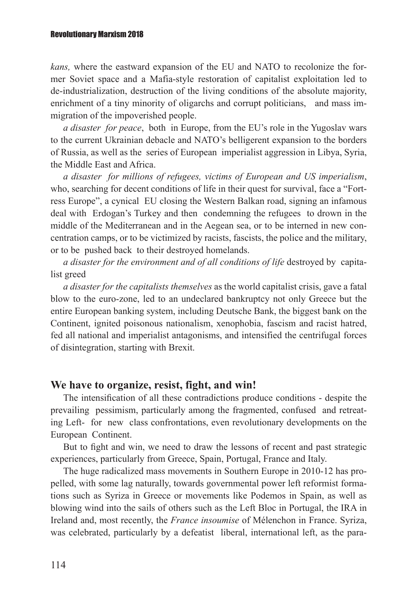*kans,* where the eastward expansion of the EU and NATO to recolonize the former Soviet space and a Mafia-style restoration of capitalist exploitation led to de-industrialization, destruction of the living conditions of the absolute majority, enrichment of a tiny minority of oligarchs and corrupt politicians, and mass immigration of the impoverished people.

*a disaster for peace*, both in Europe, from the EU's role in the Yugoslav wars to the current Ukrainian debacle and NATO's belligerent expansion to the borders of Russia, as well as the series of European imperialist aggression in Libya, Syria, the Middle East and Africa.

*a disaster for millions of refugees, victims of European and US imperialism*, who, searching for decent conditions of life in their quest for survival, face a "Fortress Europe", a cynical EU closing the Western Balkan road, signing an infamous deal with Erdogan's Turkey and then condemning the refugees to drown in the middle of the Mediterranean and in the Aegean sea, or to be interned in new concentration camps, or to be victimized by racists, fascists, the police and the military, or to be pushed back to their destroyed homelands.

*a disaster for the environment and of all conditions of life* destroyed by capitalist greed

*a disaster for the capitalists themselves* as the world capitalist crisis, gave a fatal blow to the euro-zone, led to an undeclared bankruptcy not only Greece but the entire European banking system, including Deutsche Bank, the biggest bank on the Continent, ignited poisonous nationalism, xenophobia, fascism and racist hatred, fed all national and imperialist antagonisms, and intensified the centrifugal forces of disintegration, starting with Brexit.

#### **We have to organize, resist, fight, and win!**

The intensification of all these contradictions produce conditions - despite the prevailing pessimism, particularly among the fragmented, confused and retreating Left- for new class confrontations, even revolutionary developments on the European Continent.

But to fight and win, we need to draw the lessons of recent and past strategic experiences, particularly from Greece, Spain, Portugal, France and Italy.

The huge radicalized mass movements in Southern Europe in 2010-12 has propelled, with some lag naturally, towards governmental power left reformist formations such as Syriza in Greece or movements like Podemos in Spain, as well as blowing wind into the sails of others such as the Left Bloc in Portugal, the IRA in Ireland and, most recently, the *France insoumise* of Mélenchon in France. Syriza, was celebrated, particularly by a defeatist liberal, international left, as the para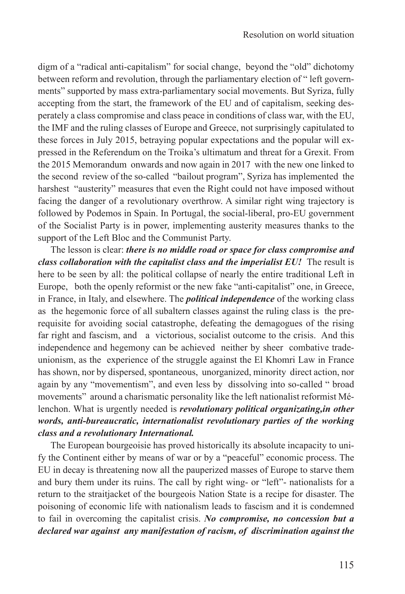digm of a "radical anti-capitalism" for social change, beyond the "old" dichotomy between reform and revolution, through the parliamentary election of " left governments" supported by mass extra-parliamentary social movements. But Syriza, fully accepting from the start, the framework of the EU and of capitalism, seeking desperately a class compromise and class peace in conditions of class war, with the EU, the IMF and the ruling classes of Europe and Greece, not surprisingly capitulated to these forces in July 2015, betraying popular expectations and the popular will expressed in the Referendum on the Troika's ultimatum and threat for a Grexit. From the 2015 Memorandum onwards and now again in 2017 with the new one linked to the second review of the so-called "bailout program", Syriza has implemented the harshest "austerity" measures that even the Right could not have imposed without facing the danger of a revolutionary overthrow. A similar right wing trajectory is followed by Podemos in Spain. In Portugal, the social-liberal, pro-EU government of the Socialist Party is in power, implementing austerity measures thanks to the support of the Left Bloc and the Communist Party.

The lesson is clear: *there is no middle road or space for class compromise and class collaboration with the capitalist class and the imperialist EU!* The result is here to be seen by all: the political collapse of nearly the entire traditional Left in Europe, both the openly reformist or the new fake "anti-capitalist" one, in Greece, in France, in Italy, and elsewhere. The *political independence* of the working class as the hegemonic force of all subaltern classes against the ruling class is the prerequisite for avoiding social catastrophe, defeating the demagogues of the rising far right and fascism, and a victorious, socialist outcome to the crisis. And this independence and hegemony can be achieved neither by sheer combative tradeunionism, as the experience of the struggle against the El Khomri Law in France has shown, nor by dispersed, spontaneous, unorganized, minority direct action, nor again by any "movementism", and even less by dissolving into so-called " broad movements" around a charismatic personality like the left nationalist reformist Mélenchon. What is urgently needed is *revolutionary political organizating,in other words, anti-bureaucratic, internationalist revolutionary parties of the working class and a revolutionary International.* 

The European bourgeoisie has proved historically its absolute incapacity to unify the Continent either by means of war or by a "peaceful" economic process. The EU in decay is threatening now all the pauperized masses of Europe to starve them and bury them under its ruins. The call by right wing- or "left"- nationalists for a return to the straitjacket of the bourgeois Nation State is a recipe for disaster. The poisoning of economic life with nationalism leads to fascism and it is condemned to fail in overcoming the capitalist crisis. *No compromise, no concession but a declared war against any manifestation of racism, of discrimination against the*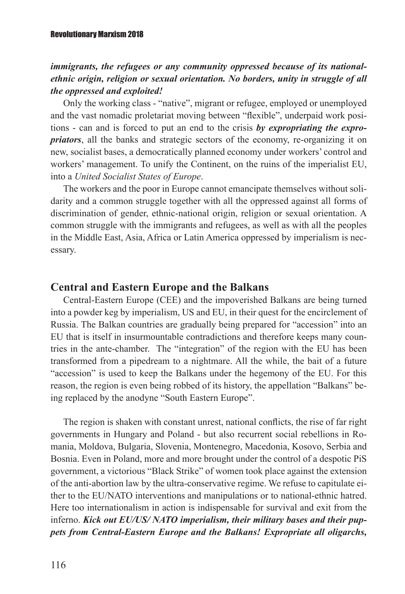#### *immigrants, the refugees or any community oppressed because of its nationalethnic origin, religion or sexual orientation. No borders, unity in struggle of all the oppressed and exploited!*

Only the working class - "native", migrant or refugee, employed or unemployed and the vast nomadic proletariat moving between "flexible", underpaid work positions - can and is forced to put an end to the crisis *by expropriating the expropriators*, all the banks and strategic sectors of the economy, re-organizing it on new, socialist bases, a democratically planned economy under workers' control and workers' management. To unify the Continent, on the ruins of the imperialist EU, into a *United Socialist States of Europe*.

The workers and the poor in Europe cannot emancipate themselves without solidarity and a common struggle together with all the oppressed against all forms of discrimination of gender, ethnic-national origin, religion or sexual orientation. A common struggle with the immigrants and refugees, as well as with all the peoples in the Middle East, Asia, Africa or Latin America oppressed by imperialism is necessary.

## **Central and Eastern Europe and the Balkans**

Central-Eastern Europe (CEE) and the impoverished Balkans are being turned into a powder keg by imperialism, US and EU, in their quest for the encirclement of Russia. The Balkan countries are gradually being prepared for "accession" into an EU that is itself in insurmountable contradictions and therefore keeps many countries in the ante-chamber. The "integration" of the region with the EU has been transformed from a pipedream to a nightmare. All the while, the bait of a future "accession" is used to keep the Balkans under the hegemony of the EU. For this reason, the region is even being robbed of its history, the appellation "Balkans" being replaced by the anodyne "South Eastern Europe".

The region is shaken with constant unrest, national conflicts, the rise of far right governments in Hungary and Poland - but also recurrent social rebellions in Romania, Moldova, Bulgaria, Slovenia, Montenegro, Macedonia, Kosovo, Serbia and Bosnia. Even in Poland, more and more brought under the control of a despotic PiS government, a victorious "Black Strike" of women took place against the extension of the anti-abortion law by the ultra-conservative regime. We refuse to capitulate either to the EU/NATO interventions and manipulations or to national-ethnic hatred. Here too internationalism in action is indispensable for survival and exit from the inferno. *Kick out EU/US/ NATO imperialism, their military bases and their puppets from Central-Eastern Europe and the Balkans! Expropriate all oligarchs,*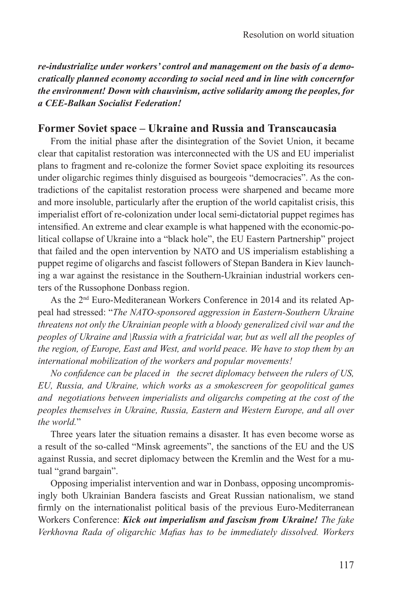*re-industrialize under workers' control and management on the basis of a democratically planned economy according to social need and in line with concernfor the environment! Down with chauvinism, active solidarity among the peoples, for a CEE-Balkan Socialist Federation!*

## **Former Soviet space – Ukraine and Russia and Transcaucasia**

From the initial phase after the disintegration of the Soviet Union, it became clear that capitalist restoration was interconnected with the US and EU imperialist plans to fragment and re-colonize the former Soviet space exploiting its resources under oligarchic regimes thinly disguised as bourgeois "democracies". As the contradictions of the capitalist restoration process were sharpened and became more and more insoluble, particularly after the eruption of the world capitalist crisis, this imperialist effort of re-colonization under local semi-dictatorial puppet regimes has intensified. An extreme and clear example is what happened with the economic-political collapse of Ukraine into a "black hole", the EU Eastern Partnership" project that failed and the open intervention by NATO and US imperialism establishing a puppet regime of oligarchs and fascist followers of Stepan Bandera in Kiev launching a war against the resistance in the Southern-Ukrainian industrial workers centers of the Russophone Donbass region.

As the 2nd Euro-Mediteranean Workers Conference in 2014 and its related Appeal had stressed: "*The NATO-sponsored aggression in Eastern-Southern Ukraine threatens not only the Ukrainian people with a bloody generalized civil war and the peoples of Ukraine and |Russia with a fratricidal war, but as well all the peoples of the region, of Europe, East and West, and world peace. We have to stop them by an international mobilization of the workers and popular movements!* 

*No confidence can be placed in the secret diplomacy between the rulers of US, EU, Russia, and Ukraine, which works as a smokescreen for geopolitical games and negotiations between imperialists and oligarchs competing at the cost of the peoples themselves in Ukraine, Russia, Eastern and Western Europe, and all over the world*."

Three years later the situation remains a disaster. It has even become worse as a result of the so-called "Minsk agreements", the sanctions of the EU and the US against Russia, and secret diplomacy between the Kremlin and the West for a mutual "grand bargain".

Opposing imperialist intervention and war in Donbass, opposing uncompromisingly both Ukrainian Bandera fascists and Great Russian nationalism, we stand firmly on the internationalist political basis of the previous Euro-Mediterranean Workers Conference: *Kick out imperialism and fascism from Ukraine! The fake Verkhovna Rada of oligarchic Mafias has to be immediately dissolved. Workers*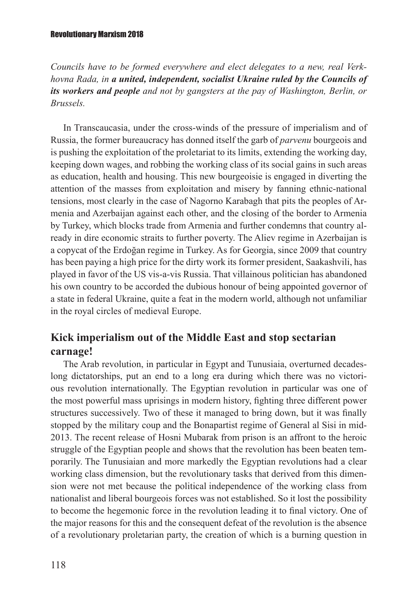*Councils have to be formed everywhere and elect delegates to a new, real Verkhovna Rada, in a united, independent, socialist Ukraine ruled by the Councils of its workers and people and not by gangsters at the pay of Washington, Berlin, or Brussels.*

In Transcaucasia, under the cross-winds of the pressure of imperialism and of Russia, the former bureaucracy has donned itself the garb of *parvenu* bourgeois and is pushing the exploitation of the proletariat to its limits, extending the working day, keeping down wages, and robbing the working class of its social gains in such areas as education, health and housing. This new bourgeoisie is engaged in diverting the attention of the masses from exploitation and misery by fanning ethnic-national tensions, most clearly in the case of Nagorno Karabagh that pits the peoples of Armenia and Azerbaijan against each other, and the closing of the border to Armenia by Turkey, which blocks trade from Armenia and further condemns that country already in dire economic straits to further poverty. The Aliev regime in Azerbaijan is a copycat of the Erdoğan regime in Turkey. As for Georgia, since 2009 that country has been paying a high price for the dirty work its former president, Saakashvili, has played in favor of the US vis-a-vis Russia. That villainous politician has abandoned his own country to be accorded the dubious honour of being appointed governor of a state in federal Ukraine, quite a feat in the modern world, although not unfamiliar in the royal circles of medieval Europe.

## **Kick imperialism out of the Middle East and stop sectarian carnage!**

The Arab revolution, in particular in Egypt and Tunusiaia, overturned decadeslong dictatorships, put an end to a long era during which there was no victorious revolution internationally. The Egyptian revolution in particular was one of the most powerful mass uprisings in modern history, fighting three different power structures successively. Two of these it managed to bring down, but it was finally stopped by the military coup and the Bonapartist regime of General al Sisi in mid-2013. The recent release of Hosni Mubarak from prison is an affront to the heroic struggle of the Egyptian people and shows that the revolution has been beaten temporarily. The Tunusiaian and more markedly the Egyptian revolutions had a clear working class dimension, but the revolutionary tasks that derived from this dimension were not met because the political independence of the working class from nationalist and liberal bourgeois forces was not established. So it lost the possibility to become the hegemonic force in the revolution leading it to final victory. One of the major reasons for this and the consequent defeat of the revolution is the absence of a revolutionary proletarian party, the creation of which is a burning question in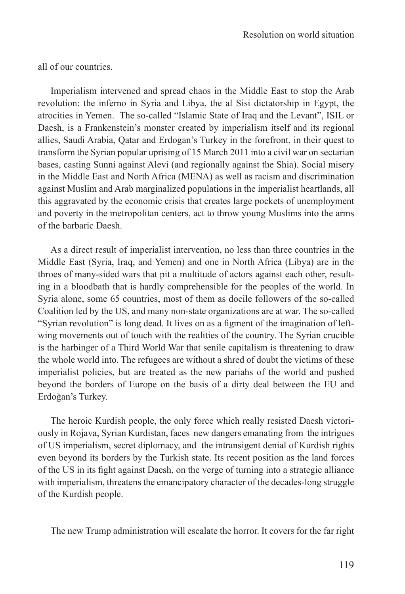all of our countries.

Imperialism intervened and spread chaos in the Middle East to stop the Arab revolution: the inferno in Syria and Libya, the al Sisi dictatorship in Egypt, the atrocities in Yemen. The so-called "Islamic State of Iraq and the Levant", ISIL or Daesh, is a Frankenstein's monster created by imperialism itself and its regional allies, Saudi Arabia, Qatar and Erdogan's Turkey in the forefront, in their quest to transform the Syrian popular uprising of 15 March 2011 into a civil war on sectarian bases, casting Sunni against Alevi (and regionally against the Shia). Social misery in the Middle East and North Africa (MENA) as well as racism and discrimination against Muslim and Arab marginalized populations in the imperialist heartlands, all this aggravated by the economic crisis that creates large pockets of unemployment and poverty in the metropolitan centers, act to throw young Muslims into the arms of the barbaric Daesh.

As a direct result of imperialist intervention, no less than three countries in the Middle East (Syria, Iraq, and Yemen) and one in North Africa (Libya) are in the throes of many-sided wars that pit a multitude of actors against each other, resulting in a bloodbath that is hardly comprehensible for the peoples of the world. In Syria alone, some 65 countries, most of them as docile followers of the so-called Coalition led by the US, and many non-state organizations are at war. The so-called "Syrian revolution" is long dead. It lives on as a figment of the imagination of leftwing movements out of touch with the realities of the country. The Syrian crucible is the harbinger of a Third World War that senile capitalism is threatening to draw the whole world into. The refugees are without a shred of doubt the victims of these imperialist policies, but are treated as the new pariahs of the world and pushed beyond the borders of Europe on the basis of a dirty deal between the EU and Erdoğan's Turkey.

The heroic Kurdish people, the only force which really resisted Daesh victoriously in Rojava, Syrian Kurdistan, faces new dangers emanating from the intrigues of US imperialism, secret diplomacy, and the intransigent denial of Kurdish rights even beyond its borders by the Turkish state. Its recent position as the land forces of the US in its fight against Daesh, on the verge of turning into a strategic alliance with imperialism, threatens the emancipatory character of the decades-long struggle of the Kurdish people.

The new Trump administration will escalate the horror. It covers for the far right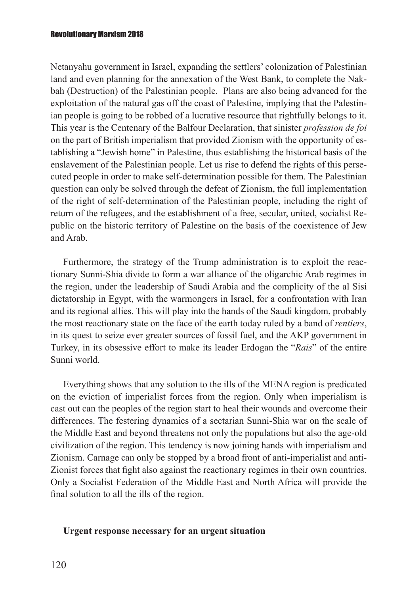Netanyahu government in Israel, expanding the settlers' colonization of Palestinian land and even planning for the annexation of the West Bank, to complete the Nakbah (Destruction) of the Palestinian people. Plans are also being advanced for the exploitation of the natural gas off the coast of Palestine, implying that the Palestinian people is going to be robbed of a lucrative resource that rightfully belongs to it. This year is the Centenary of the Balfour Declaration, that sinister *profession de foi* on the part of British imperialism that provided Zionism with the opportunity of establishing a "Jewish home" in Palestine, thus establishing the historical basis of the enslavement of the Palestinian people. Let us rise to defend the rights of this persecuted people in order to make self-determination possible for them. The Palestinian question can only be solved through the defeat of Zionism, the full implementation of the right of self-determination of the Palestinian people, including the right of return of the refugees, and the establishment of a free, secular, united, socialist Republic on the historic territory of Palestine on the basis of the coexistence of Jew and Arab.

Furthermore, the strategy of the Trump administration is to exploit the reactionary Sunni-Shia divide to form a war alliance of the oligarchic Arab regimes in the region, under the leadership of Saudi Arabia and the complicity of the al Sisi dictatorship in Egypt, with the warmongers in Israel, for a confrontation with Iran and its regional allies. This will play into the hands of the Saudi kingdom, probably the most reactionary state on the face of the earth today ruled by a band of *rentiers*, in its quest to seize ever greater sources of fossil fuel, and the AKP government in Turkey, in its obsessive effort to make its leader Erdogan the "*Rais*" of the entire Sunni world.

Everything shows that any solution to the ills of the MENA region is predicated on the eviction of imperialist forces from the region. Only when imperialism is cast out can the peoples of the region start to heal their wounds and overcome their differences. The festering dynamics of a sectarian Sunni-Shia war on the scale of the Middle East and beyond threatens not only the populations but also the age-old civilization of the region. This tendency is now joining hands with imperialism and Zionism. Carnage can only be stopped by a broad front of anti-imperialist and anti-Zionist forces that fight also against the reactionary regimes in their own countries. Only a Socialist Federation of the Middle East and North Africa will provide the final solution to all the ills of the region.

#### **Urgent response necessary for an urgent situation**